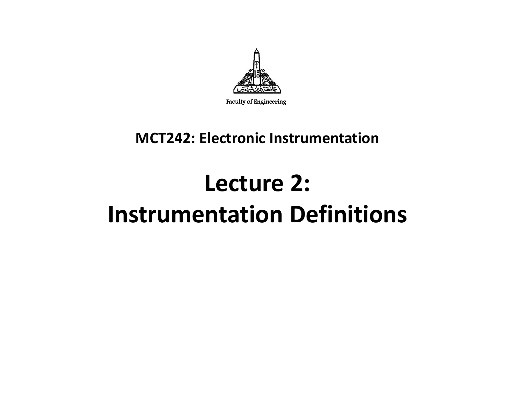

Faculty of Engineering

#### **MCT242: Electronic Instrumentation**

# **Lecture 2: Instrumentation Definitions**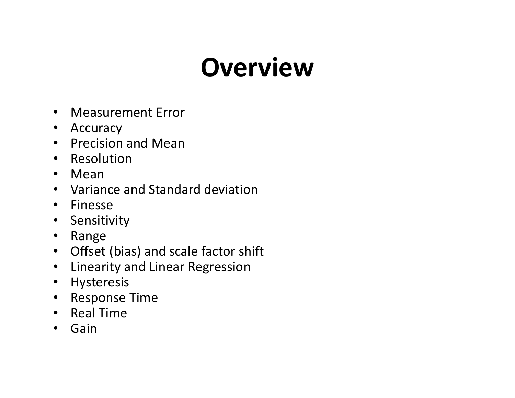# **Overview**

- Measurement Error
- Accuracy
- Precision and Mean
- Resolution
- $\bullet$ Mean
- Variance and Standard deviation
- Finesse
- Sensitivity
- $\bullet$ Range
- Offset (bias) and scale factor shift
- $\bullet$ Linearity and Linear Regression
- Hysteresis
- Response Time  $\bullet$
- Real Time
- Gain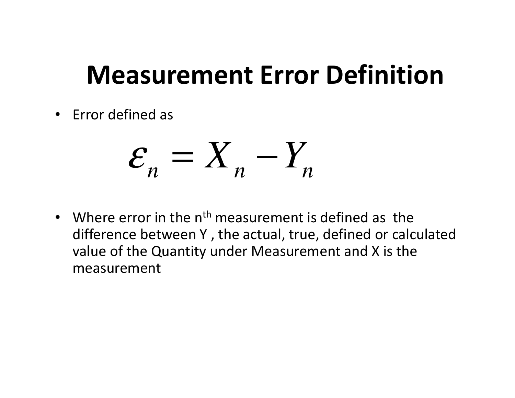### **Measurement Error Definition**

• Error defined as

$$
\mathcal{E}_n = \mathcal{X}_n - \mathcal{Y}_n
$$

• Where error in the n<sup>th</sup> measurement is defined as the difference between Y , the actual, true, defined or calculated value of the Quantity under Measurement and X is themeasurement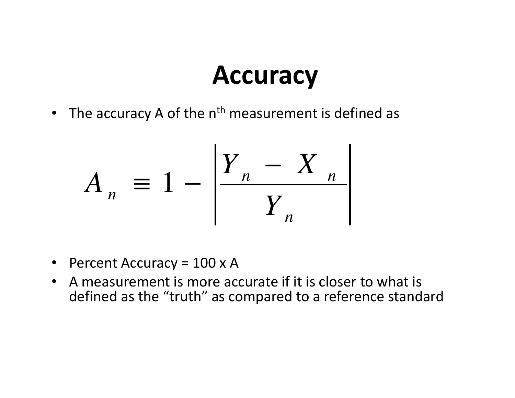• The accuracy A of the  $n<sup>th</sup>$  measurement is defined as

$$
\text{Accuracy A of the nth measurement is de}
$$
\n
$$
A_n \equiv 1 - \left| \frac{Y_n - X_n}{Y_n} \right|
$$

- Percent Accuracy = 100 x A
- A measurement is more accurate if it is closer to what is •defined as the "truth" as compared to a reference standard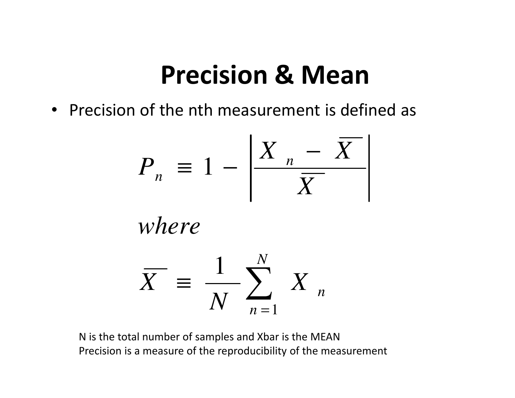#### **Precision & Mean**

• Precision of the nth measurement is defined as

$$
P_n \equiv 1 - \left| \frac{X_n - \overline{X}}{\overline{X}} \right|
$$
  
where  

$$
\overline{X} \equiv \frac{1}{N} \sum_{n=1}^{N} X_n
$$

*where*

$$
\overline{X} = \frac{1}{N} \sum_{n=1}^{N} X_n
$$

N is the total number of samples and Xbar is the MEANPrecision is a measure of the reproducibility of the measurement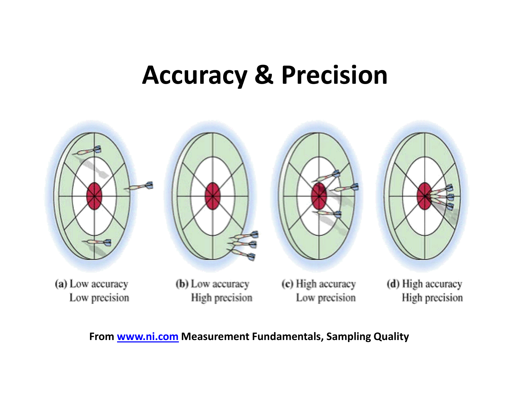### **Accuracy & Precision**



Low precision

High precision

Low precision

High precision

**From www.ni.com Measurement Fundamentals, Sampling Quality**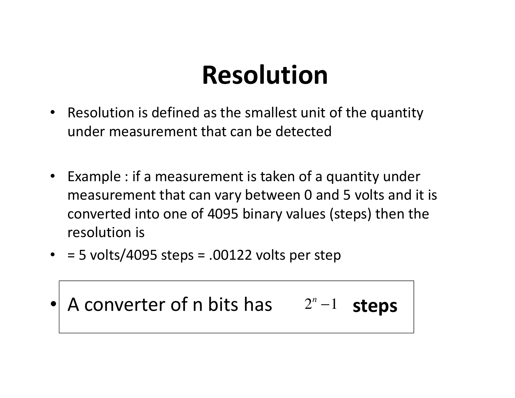# **Resolution**

- Resolution is defined as the smallest unit of the quantity under measurement that can be detected
- Example : if a measurement is taken of a quantity under measurement that can vary between 0 and 5 volts and it is converted into one of 4095 binary values (steps) then the resolution is
- $\bullet$  = 5 volts/4095 steps = .00122 volts per step

•• A converter of n bits has 2<sup>n</sup> −1 **steps**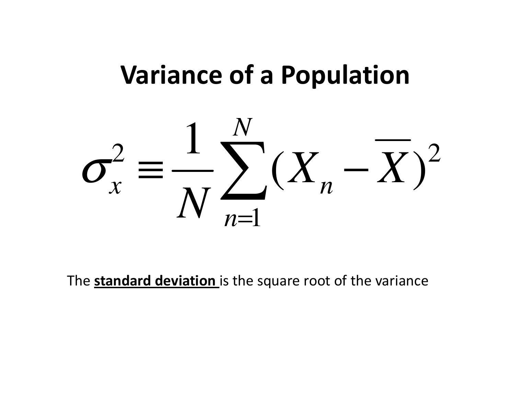#### **Variance of a Population**



The **standard deviation** is the square root of the variance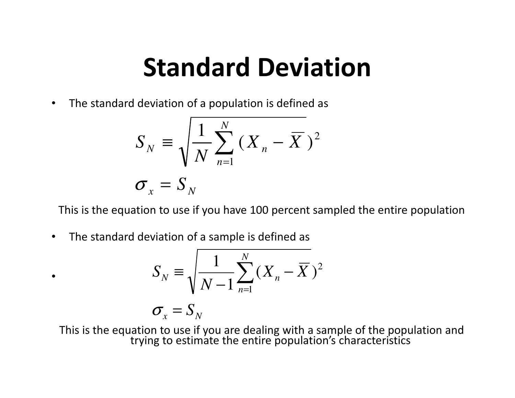# **Standard Deviation**

 $\bullet$ The standard deviation of a population is defined as

$$
S_N \equiv \sqrt{\frac{1}{N} \sum_{n=1}^{N} (X_n - \overline{X})^2}
$$

$$
\sigma_x = S_N
$$

This is the equation to use if you have 100 percent sampled the entire population

 $\bullet$ The standard deviation of a sample is defined as

•

$$
S_N \equiv \sqrt{\frac{1}{N-1} \sum_{n=1}^{N} (X_n - \overline{X})^2}
$$

$$
\sigma_x = S_N
$$

This is the equation to use if you are dealing with a sample of the population and<br>trying to estimate the entire population's characteristics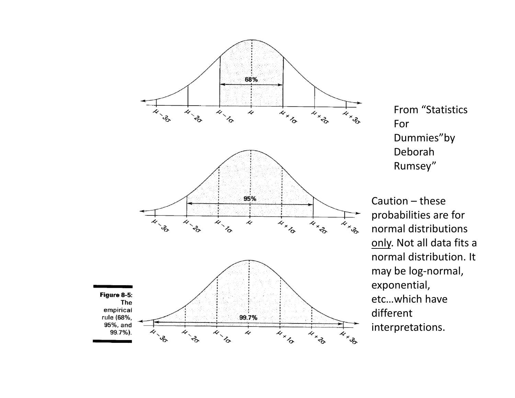

From "Statistics For Dummies"by Deborah Rumsey"

Caution – these probabilities are for normal distributions only. Not all data fits a normal distribution. It may be log-normal, exponential, etc…which have different interpretations.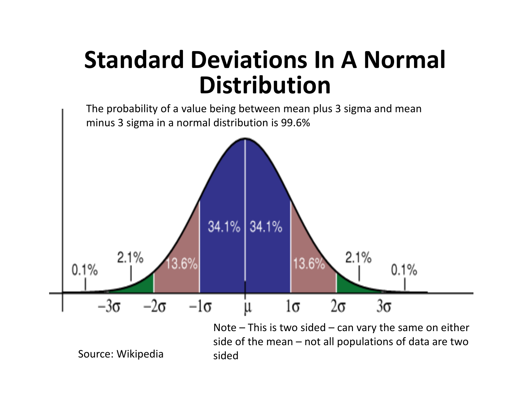#### **Standard Deviations In A Normal Distribution**

The probability of a value being between mean plus 3 sigma and mean minus 3 sigma in a normal distribution is 99.6%



Note  $-$  This is two sided  $-$  can vary the same on either side of the mean – not all populations of data are two sided

Source: Wikipedia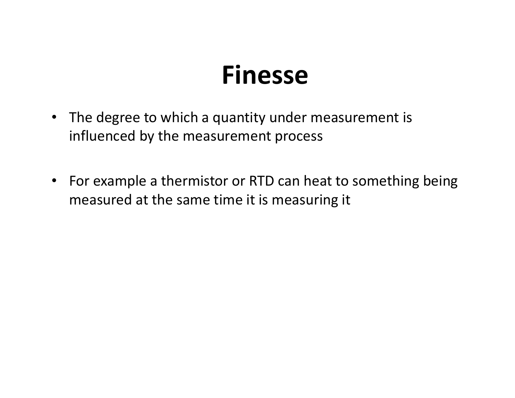#### **Finesse**

- The degree to which a quantity under measurement isinfluenced by the measurement process
- For example a thermistor or RTD can heat to something being measured at the same time it is measuring it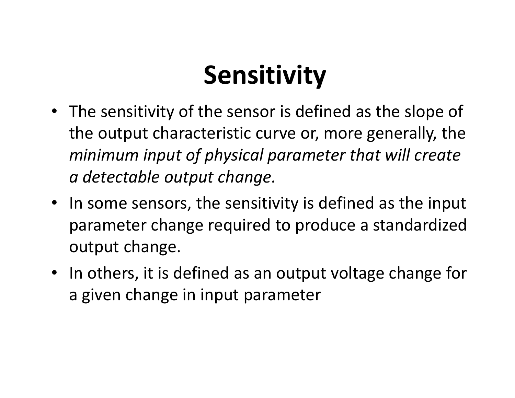# **Sensitivity**

- The sensitivity of the sensor is defined as the slope of the output characteristic curve or, more generally, the *minimum input of physical parameter that will create a detectable output change.*
- In some sensors, the sensitivity is defined as the input parameter change required to produce a standardizedoutput change.
- In others, it is defined as an output voltage change for a given change in input parameter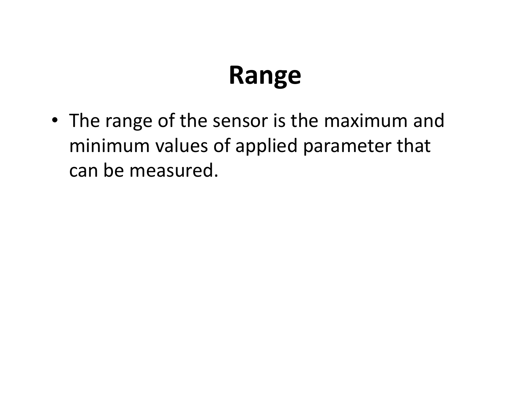## **Range**

• The range of the sensor is the maximum and minimum values of applied parameter that can be measured.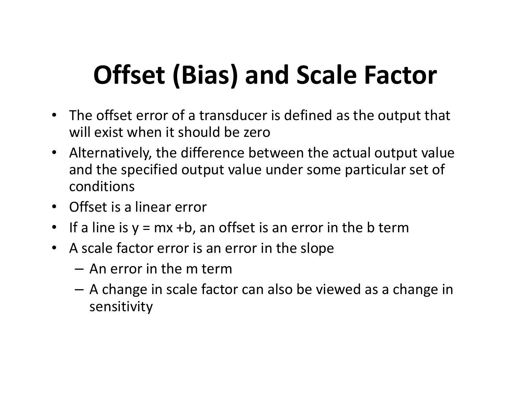# **Offset (Bias) and Scale Factor**

- The offset error of a transducer is defined as the output that will exist when it should be zero
- Alternatively, the difference between the actual output value and the specified output value under some particular set of conditions
- Offset is a linear error
- $\bullet$ If a line is  $y = mx + b$ , an offset is an error in the b term
- A scale factor error is an error in the slope
	- – $-$  An error in the m term
	- $\Lambda$  change in scale tact  $-$  A change in scale factor can also be viewed as a change in sensitivity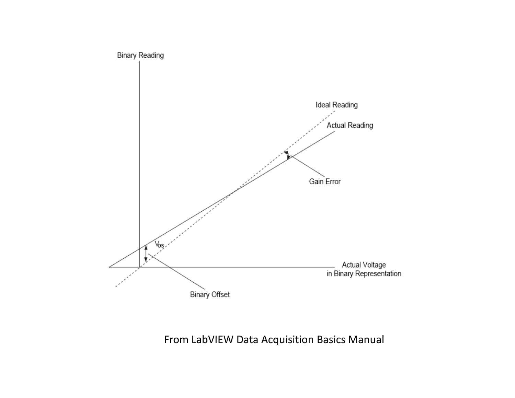

From LabVIEW Data Acquisition Basics Manual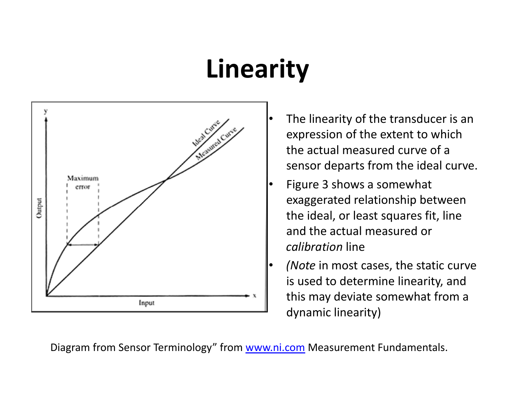# **Linearity**



- The linearity of the transducer is an expression of the extent to which the actual measured curve of a sensor departs from the ideal curve.
- Figure 3 shows a somewhat exaggerated relationship between the ideal, or least squares fit, line and the actual measured or *calibration* line
- *(Note* in most cases, the static curve is used to determine linearity, and this may deviate somewhat from a dynamic linearity)

Diagram from Sensor Terminology" from <u>www.ni.com</u> Measurement Fundamentals.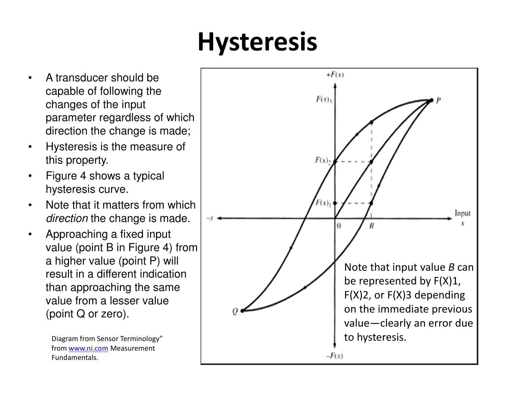# **Hysteresis**

- • A transducer should be capable of following the changes of the input parameter regardless of which direction the change is made;
- • Hysteresis is the measure of this property.
- • Figure 4 shows a typical hysteresis curve.
- • Note that it matters from which *direction* the change is made.
- • Approaching a fixed input value (point B in Figure 4) from a higher value (point P) will result in a different indication than approaching the same value from a lesser value (point Q or zero).

from www.ni.com Measurement<br>Eundementels Fundamentals.

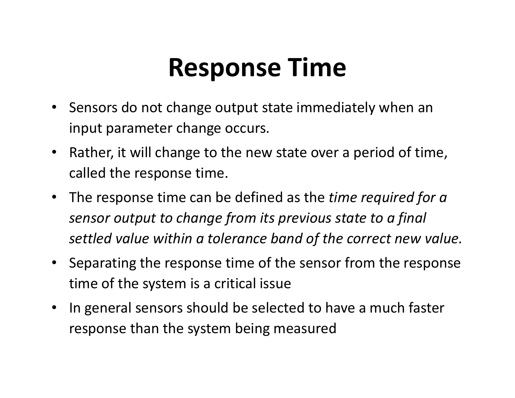# **Response Time**

- Sensors do not change output state immediately when an input parameter change occurs.
- $\bullet$  Rather, it will change to the new state over a period of time, called the response time.
- The response time can be defined as the *time required for a sensor output to change from its previous state to a final settled value within a tolerance band of the correct new value.*
- Separating the response time of the sensor from the response time of the system is a critical issue
- $\bullet$  In general sensors should be selected to have a much faster response than the system being measured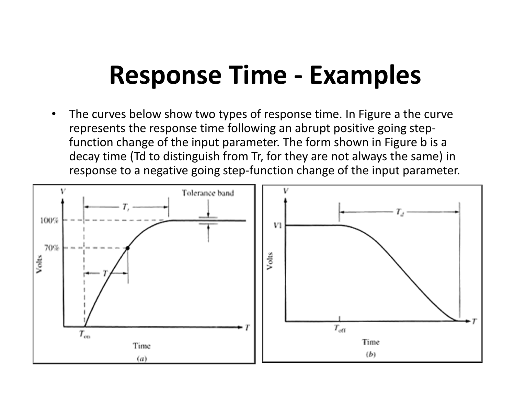# **Response Time - Examples**

 $\bullet$  The curves below show two types of response time. In Figure a the curve represents the response time following an abrupt positive going stepfunction change of the input parameter. The form shown in Figure b is a decay time (Td to distinguish from Tr, for they are not always the same) in response to a negative going step-function change of the input parameter.

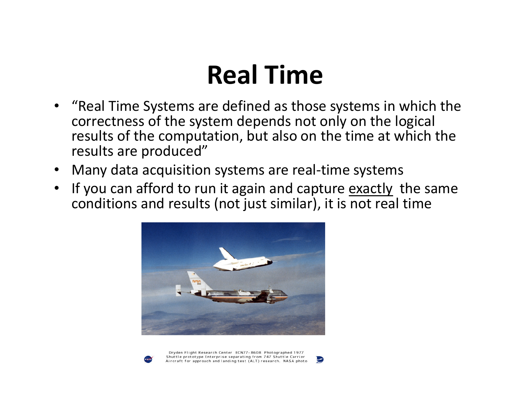# **Real Time**

- • "Real Time Systems are defined as those systems in which the correctness of the system depends not only on the logical results of the computation, but also on the time at which the results are produced"
- •Many data acquisition systems are real-time systems
- • If you can afford to run it again and capture exactly the same conditions and results (not just similar), it is not real time